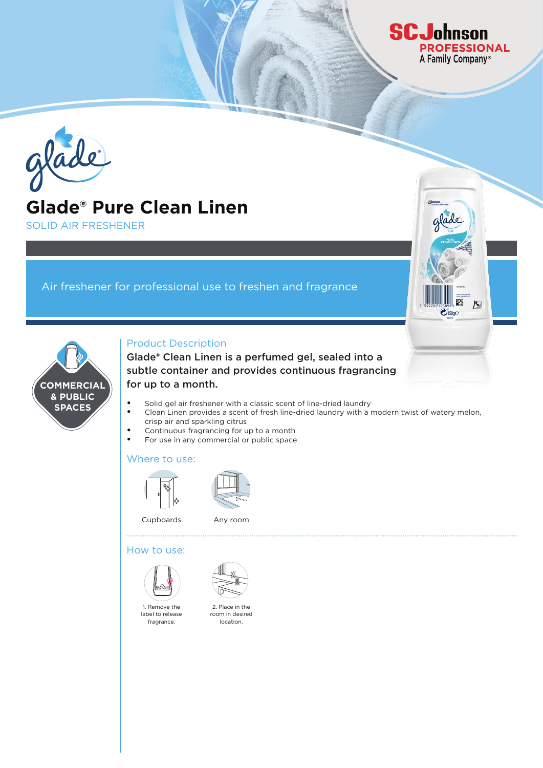

# **Glade® Pure Clean Linen**

SOLID AIR FRESHENER

**COMMERCIAL & PUBLIC SPACES**

# Air freshener for professional use to freshen and fragrance

## Product Description

Glade® Clean Linen is a perfumed gel, sealed into a subtle container and provides continuous fragrancing for up to a month.

- **•** Solid gel air freshener with a classic scent of line-dried laundry
- **•** Clean Linen provides a scent of fresh line-dried laundry with a modern twist of watery melon, crisp air and sparkling citrus

**SCJohnson** 

**PROFESSIONAL** A Family Company®

 $\triangleright$ 

 $\mathcal{O}_{150g}$ e

- **•** Continuous fragrancing for up to a month
- **•** For use in any commercial or public space

### Where to use:





Cupboards Any room

### How to use:





2. Place in the room in desired location.